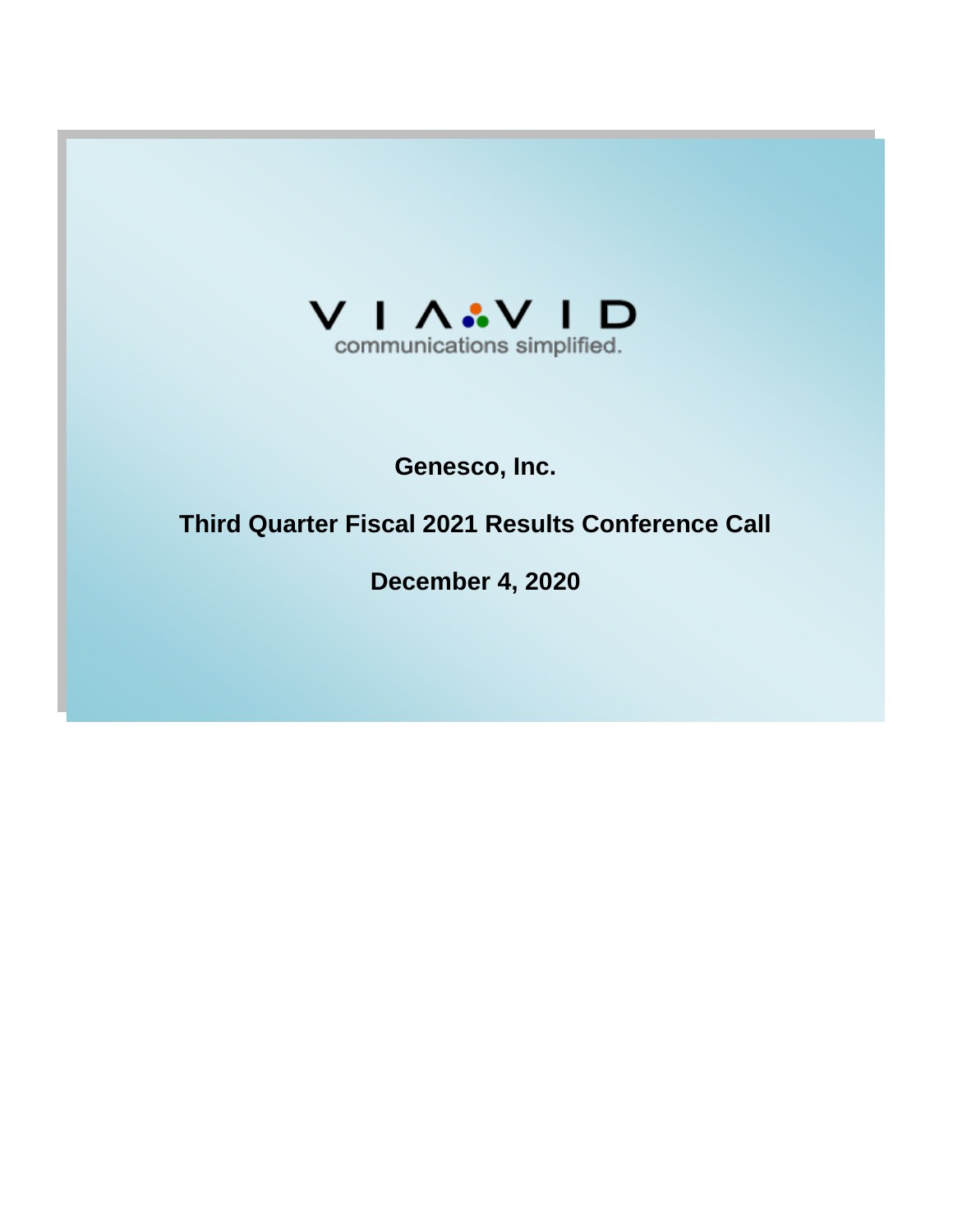

## **Genesco, Inc.**

# **Third Quarter Fiscal 2021 Results Conference Call**

**December 4, 2020**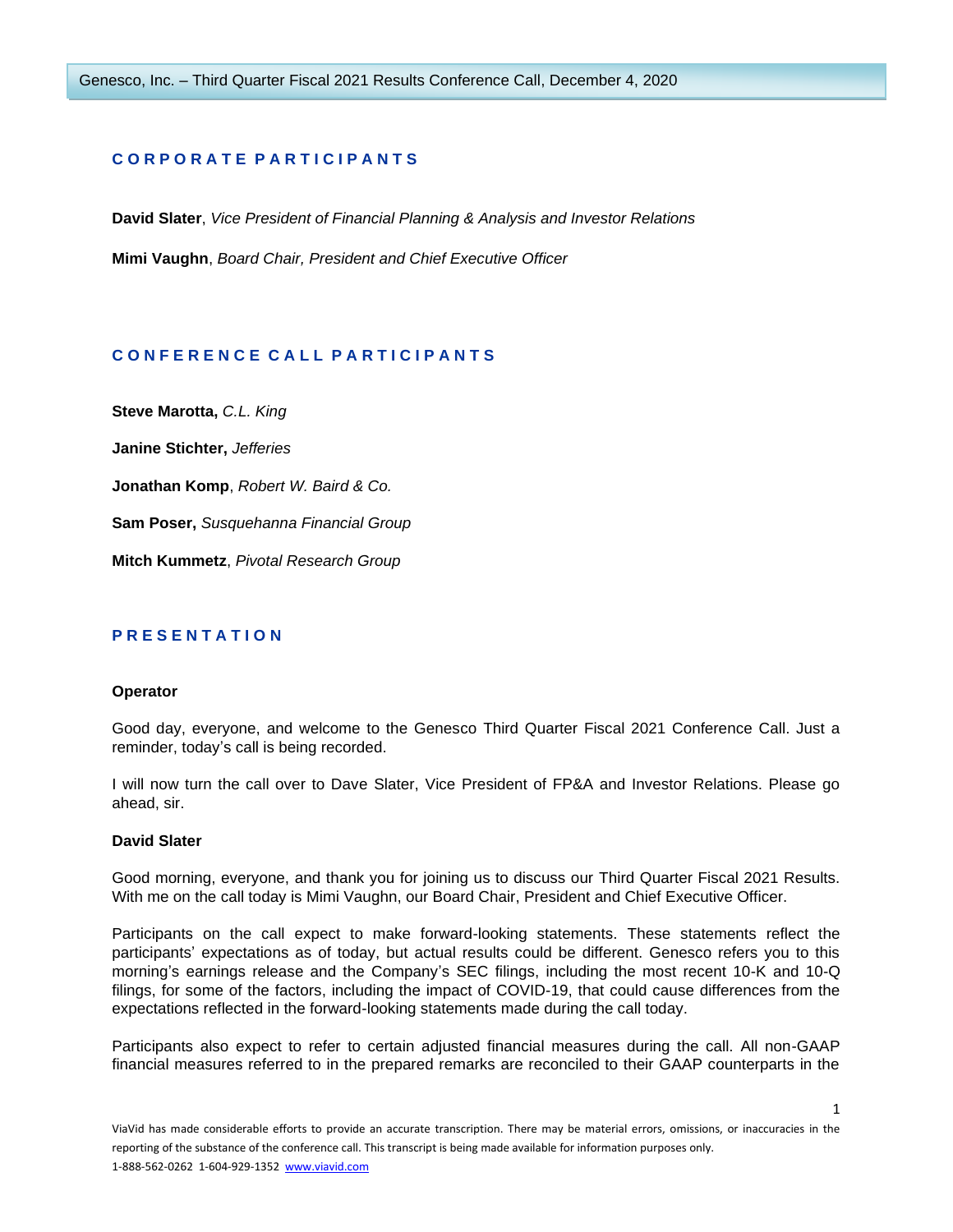## **C O R P O R A T E P A R T I C I P A N T S**

**David Slater**, *Vice President of Financial Planning & Analysis and Investor Relations* **Mimi Vaughn**, *Board Chair, President and Chief Executive Officer*

## **C O N F E R E N C E C A L L P A R T I C I P A N T S**

**Steve Marotta,** *C.L. King* **Janine Stichter,** *Jefferies* **Jonathan Komp**, *Robert W. Baird & Co.* **Sam Poser,** *Susquehanna Financial Group* **Mitch Kummetz**, *Pivotal Research Group*

## **P R E S E N T A T I O N**

## **Operator**

Good day, everyone, and welcome to the Genesco Third Quarter Fiscal 2021 Conference Call. Just a reminder, today's call is being recorded.

I will now turn the call over to Dave Slater, Vice President of FP&A and Investor Relations. Please go ahead, sir.

## **David Slater**

Good morning, everyone, and thank you for joining us to discuss our Third Quarter Fiscal 2021 Results. With me on the call today is Mimi Vaughn, our Board Chair, President and Chief Executive Officer.

Participants on the call expect to make forward-looking statements. These statements reflect the participants' expectations as of today, but actual results could be different. Genesco refers you to this morning's earnings release and the Company's SEC filings, including the most recent 10-K and 10-Q filings, for some of the factors, including the impact of COVID-19, that could cause differences from the expectations reflected in the forward-looking statements made during the call today.

Participants also expect to refer to certain adjusted financial measures during the call. All non-GAAP financial measures referred to in the prepared remarks are reconciled to their GAAP counterparts in the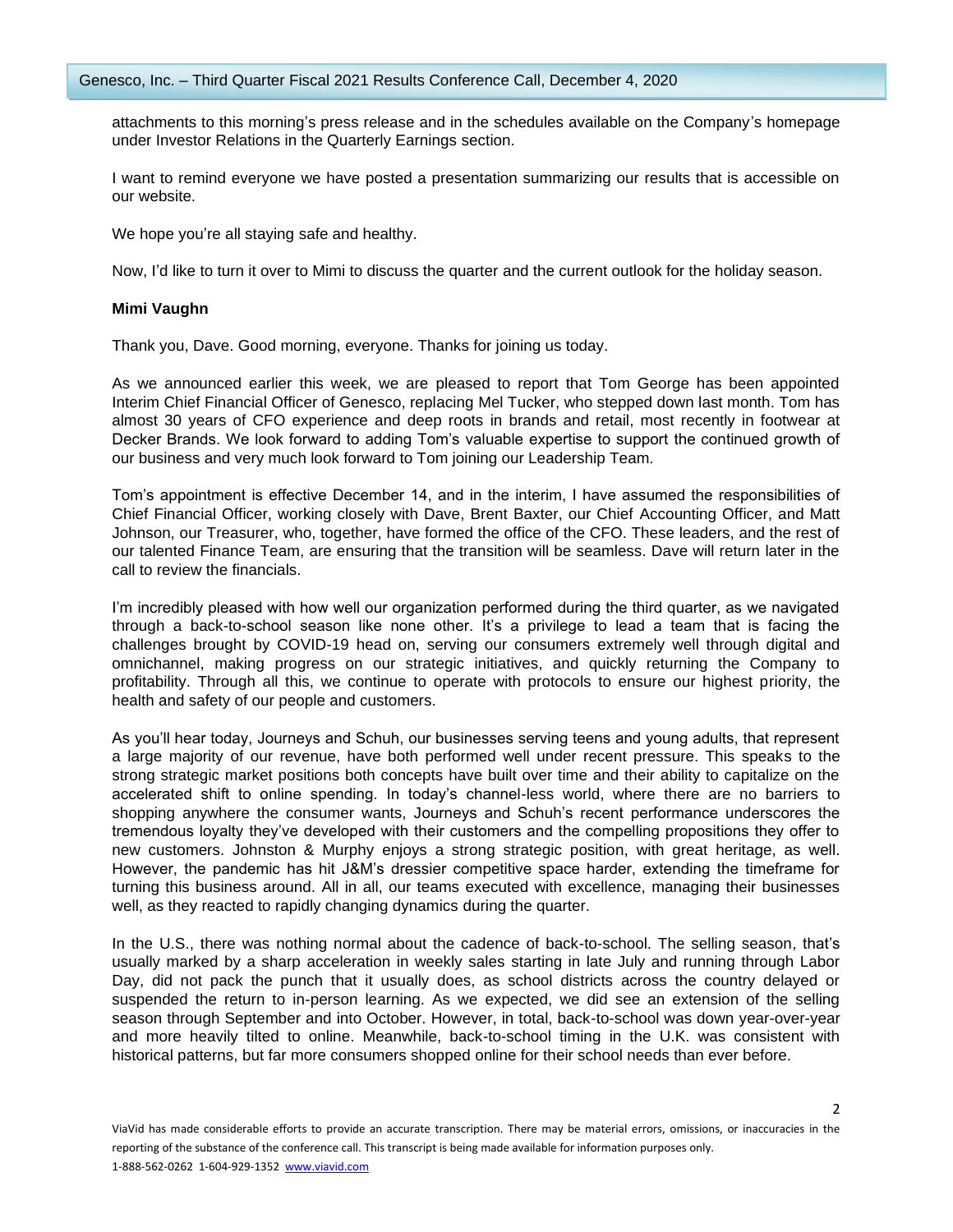attachments to this morning's press release and in the schedules available on the Company's homepage under Investor Relations in the Quarterly Earnings section.

I want to remind everyone we have posted a presentation summarizing our results that is accessible on our website.

We hope you're all staying safe and healthy.

Now, I'd like to turn it over to Mimi to discuss the quarter and the current outlook for the holiday season.

## **Mimi Vaughn**

Thank you, Dave. Good morning, everyone. Thanks for joining us today.

As we announced earlier this week, we are pleased to report that Tom George has been appointed Interim Chief Financial Officer of Genesco, replacing Mel Tucker, who stepped down last month. Tom has almost 30 years of CFO experience and deep roots in brands and retail, most recently in footwear at Decker Brands. We look forward to adding Tom's valuable expertise to support the continued growth of our business and very much look forward to Tom joining our Leadership Team.

Tom's appointment is effective December 14, and in the interim, I have assumed the responsibilities of Chief Financial Officer, working closely with Dave, Brent Baxter, our Chief Accounting Officer, and Matt Johnson, our Treasurer, who, together, have formed the office of the CFO. These leaders, and the rest of our talented Finance Team, are ensuring that the transition will be seamless. Dave will return later in the call to review the financials.

I'm incredibly pleased with how well our organization performed during the third quarter, as we navigated through a back-to-school season like none other. It's a privilege to lead a team that is facing the challenges brought by COVID-19 head on, serving our consumers extremely well through digital and omnichannel, making progress on our strategic initiatives, and quickly returning the Company to profitability. Through all this, we continue to operate with protocols to ensure our highest priority, the health and safety of our people and customers.

As you'll hear today, Journeys and Schuh, our businesses serving teens and young adults, that represent a large majority of our revenue, have both performed well under recent pressure. This speaks to the strong strategic market positions both concepts have built over time and their ability to capitalize on the accelerated shift to online spending. In today's channel-less world, where there are no barriers to shopping anywhere the consumer wants, Journeys and Schuh's recent performance underscores the tremendous loyalty they've developed with their customers and the compelling propositions they offer to new customers. Johnston & Murphy enjoys a strong strategic position, with great heritage, as well. However, the pandemic has hit J&M's dressier competitive space harder, extending the timeframe for turning this business around. All in all, our teams executed with excellence, managing their businesses well, as they reacted to rapidly changing dynamics during the quarter.

In the U.S., there was nothing normal about the cadence of back-to-school. The selling season, that's usually marked by a sharp acceleration in weekly sales starting in late July and running through Labor Day, did not pack the punch that it usually does, as school districts across the country delayed or suspended the return to in-person learning. As we expected, we did see an extension of the selling season through September and into October. However, in total, back-to-school was down year-over-year and more heavily tilted to online. Meanwhile, back-to-school timing in the U.K. was consistent with historical patterns, but far more consumers shopped online for their school needs than ever before.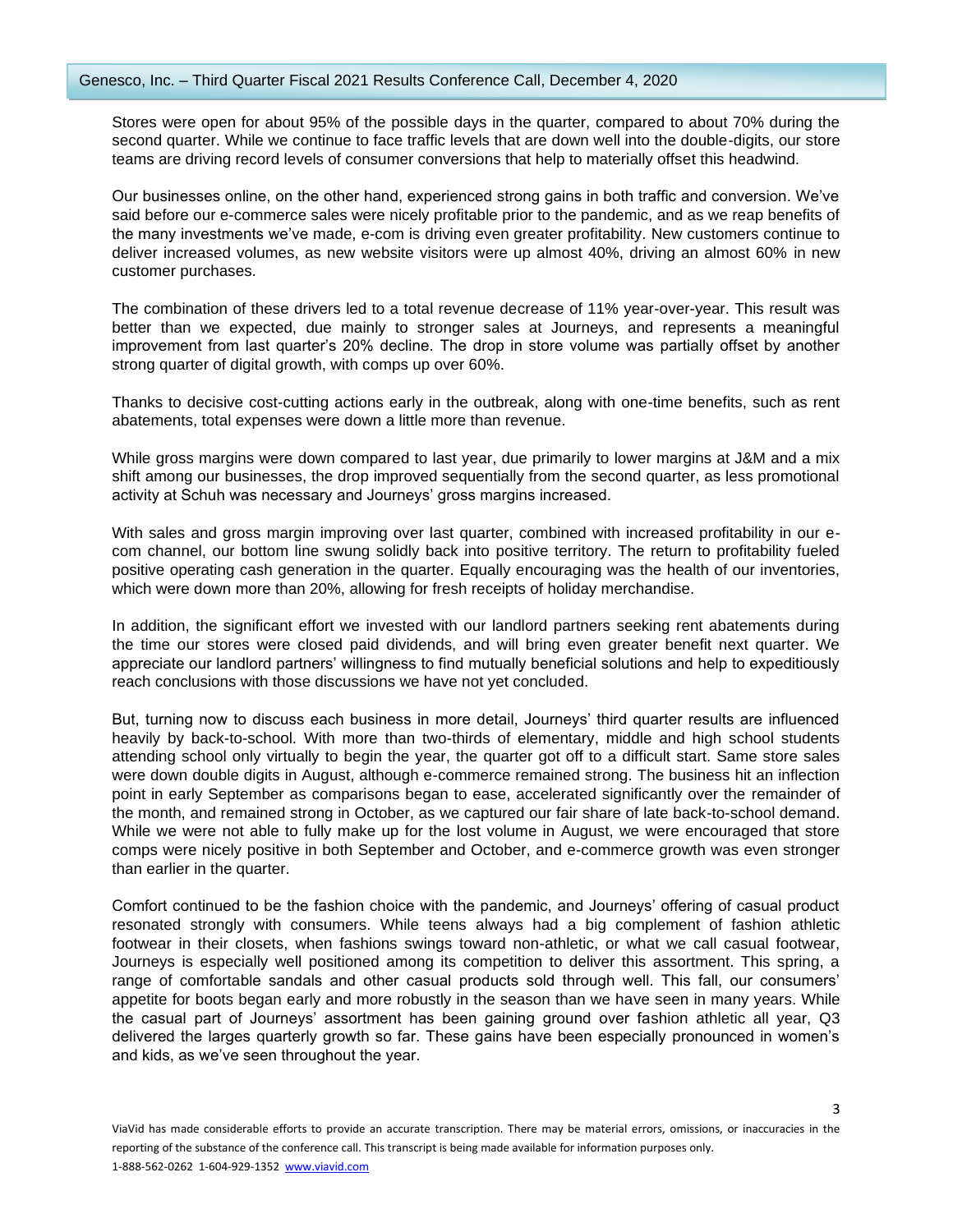Stores were open for about 95% of the possible days in the quarter, compared to about 70% during the second quarter. While we continue to face traffic levels that are down well into the double-digits, our store teams are driving record levels of consumer conversions that help to materially offset this headwind.

Our businesses online, on the other hand, experienced strong gains in both traffic and conversion. We've said before our e-commerce sales were nicely profitable prior to the pandemic, and as we reap benefits of the many investments we've made, e-com is driving even greater profitability. New customers continue to deliver increased volumes, as new website visitors were up almost 40%, driving an almost 60% in new customer purchases.

The combination of these drivers led to a total revenue decrease of 11% year-over-year. This result was better than we expected, due mainly to stronger sales at Journeys, and represents a meaningful improvement from last quarter's 20% decline. The drop in store volume was partially offset by another strong quarter of digital growth, with comps up over 60%.

Thanks to decisive cost-cutting actions early in the outbreak, along with one-time benefits, such as rent abatements, total expenses were down a little more than revenue.

While gross margins were down compared to last year, due primarily to lower margins at J&M and a mix shift among our businesses, the drop improved sequentially from the second quarter, as less promotional activity at Schuh was necessary and Journeys' gross margins increased.

With sales and gross margin improving over last quarter, combined with increased profitability in our ecom channel, our bottom line swung solidly back into positive territory. The return to profitability fueled positive operating cash generation in the quarter. Equally encouraging was the health of our inventories, which were down more than 20%, allowing for fresh receipts of holiday merchandise.

In addition, the significant effort we invested with our landlord partners seeking rent abatements during the time our stores were closed paid dividends, and will bring even greater benefit next quarter. We appreciate our landlord partners' willingness to find mutually beneficial solutions and help to expeditiously reach conclusions with those discussions we have not yet concluded.

But, turning now to discuss each business in more detail, Journeys' third quarter results are influenced heavily by back-to-school. With more than two-thirds of elementary, middle and high school students attending school only virtually to begin the year, the quarter got off to a difficult start. Same store sales were down double digits in August, although e-commerce remained strong. The business hit an inflection point in early September as comparisons began to ease, accelerated significantly over the remainder of the month, and remained strong in October, as we captured our fair share of late back-to-school demand. While we were not able to fully make up for the lost volume in August, we were encouraged that store comps were nicely positive in both September and October, and e-commerce growth was even stronger than earlier in the quarter.

Comfort continued to be the fashion choice with the pandemic, and Journeys' offering of casual product resonated strongly with consumers. While teens always had a big complement of fashion athletic footwear in their closets, when fashions swings toward non-athletic, or what we call casual footwear, Journeys is especially well positioned among its competition to deliver this assortment. This spring, a range of comfortable sandals and other casual products sold through well. This fall, our consumers' appetite for boots began early and more robustly in the season than we have seen in many years. While the casual part of Journeys' assortment has been gaining ground over fashion athletic all year, Q3 delivered the larges quarterly growth so far. These gains have been especially pronounced in women's and kids, as we've seen throughout the year.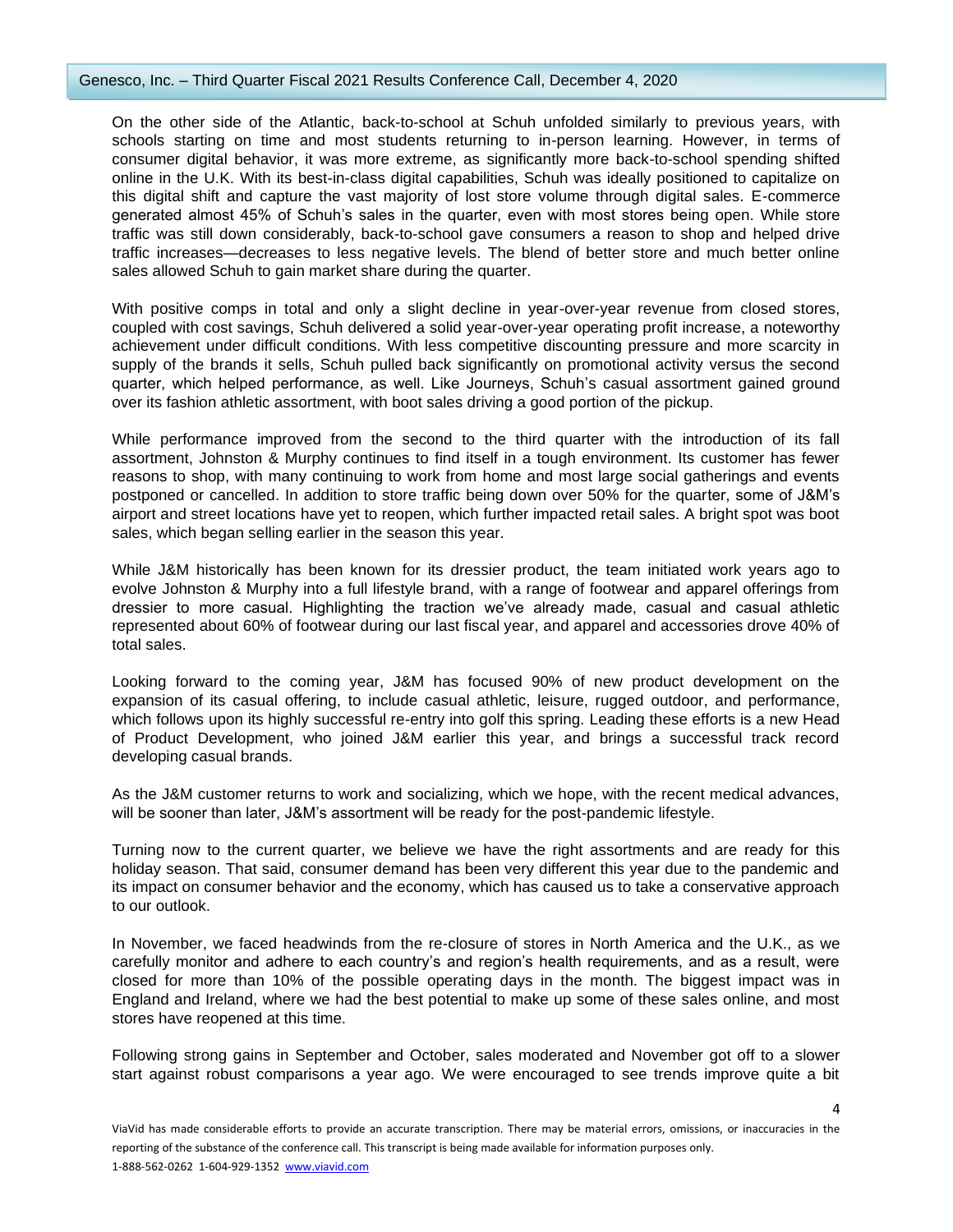## Genesco, Inc. – Third Quarter Fiscal 2021 Results Conference Call, December 4, 2020

On the other side of the Atlantic, back-to-school at Schuh unfolded similarly to previous years, with schools starting on time and most students returning to in-person learning. However, in terms of consumer digital behavior, it was more extreme, as significantly more back-to-school spending shifted online in the U.K. With its best-in-class digital capabilities, Schuh was ideally positioned to capitalize on this digital shift and capture the vast majority of lost store volume through digital sales. E-commerce generated almost 45% of Schuh's sales in the quarter, even with most stores being open. While store traffic was still down considerably, back-to-school gave consumers a reason to shop and helped drive traffic increases—decreases to less negative levels. The blend of better store and much better online sales allowed Schuh to gain market share during the quarter.

With positive comps in total and only a slight decline in year-over-year revenue from closed stores, coupled with cost savings, Schuh delivered a solid year-over-year operating profit increase, a noteworthy achievement under difficult conditions. With less competitive discounting pressure and more scarcity in supply of the brands it sells, Schuh pulled back significantly on promotional activity versus the second quarter, which helped performance, as well. Like Journeys, Schuh's casual assortment gained ground over its fashion athletic assortment, with boot sales driving a good portion of the pickup.

While performance improved from the second to the third quarter with the introduction of its fall assortment, Johnston & Murphy continues to find itself in a tough environment. Its customer has fewer reasons to shop, with many continuing to work from home and most large social gatherings and events postponed or cancelled. In addition to store traffic being down over 50% for the quarter, some of J&M's airport and street locations have yet to reopen, which further impacted retail sales. A bright spot was boot sales, which began selling earlier in the season this year.

While J&M historically has been known for its dressier product, the team initiated work years ago to evolve Johnston & Murphy into a full lifestyle brand, with a range of footwear and apparel offerings from dressier to more casual. Highlighting the traction we've already made, casual and casual athletic represented about 60% of footwear during our last fiscal year, and apparel and accessories drove 40% of total sales.

Looking forward to the coming year, J&M has focused 90% of new product development on the expansion of its casual offering, to include casual athletic, leisure, rugged outdoor, and performance, which follows upon its highly successful re-entry into golf this spring. Leading these efforts is a new Head of Product Development, who joined J&M earlier this year, and brings a successful track record developing casual brands.

As the J&M customer returns to work and socializing, which we hope, with the recent medical advances, will be sooner than later, J&M's assortment will be ready for the post-pandemic lifestyle.

Turning now to the current quarter, we believe we have the right assortments and are ready for this holiday season. That said, consumer demand has been very different this year due to the pandemic and its impact on consumer behavior and the economy, which has caused us to take a conservative approach to our outlook.

In November, we faced headwinds from the re-closure of stores in North America and the U.K., as we carefully monitor and adhere to each country's and region's health requirements, and as a result, were closed for more than 10% of the possible operating days in the month. The biggest impact was in England and Ireland, where we had the best potential to make up some of these sales online, and most stores have reopened at this time.

Following strong gains in September and October, sales moderated and November got off to a slower start against robust comparisons a year ago. We were encouraged to see trends improve quite a bit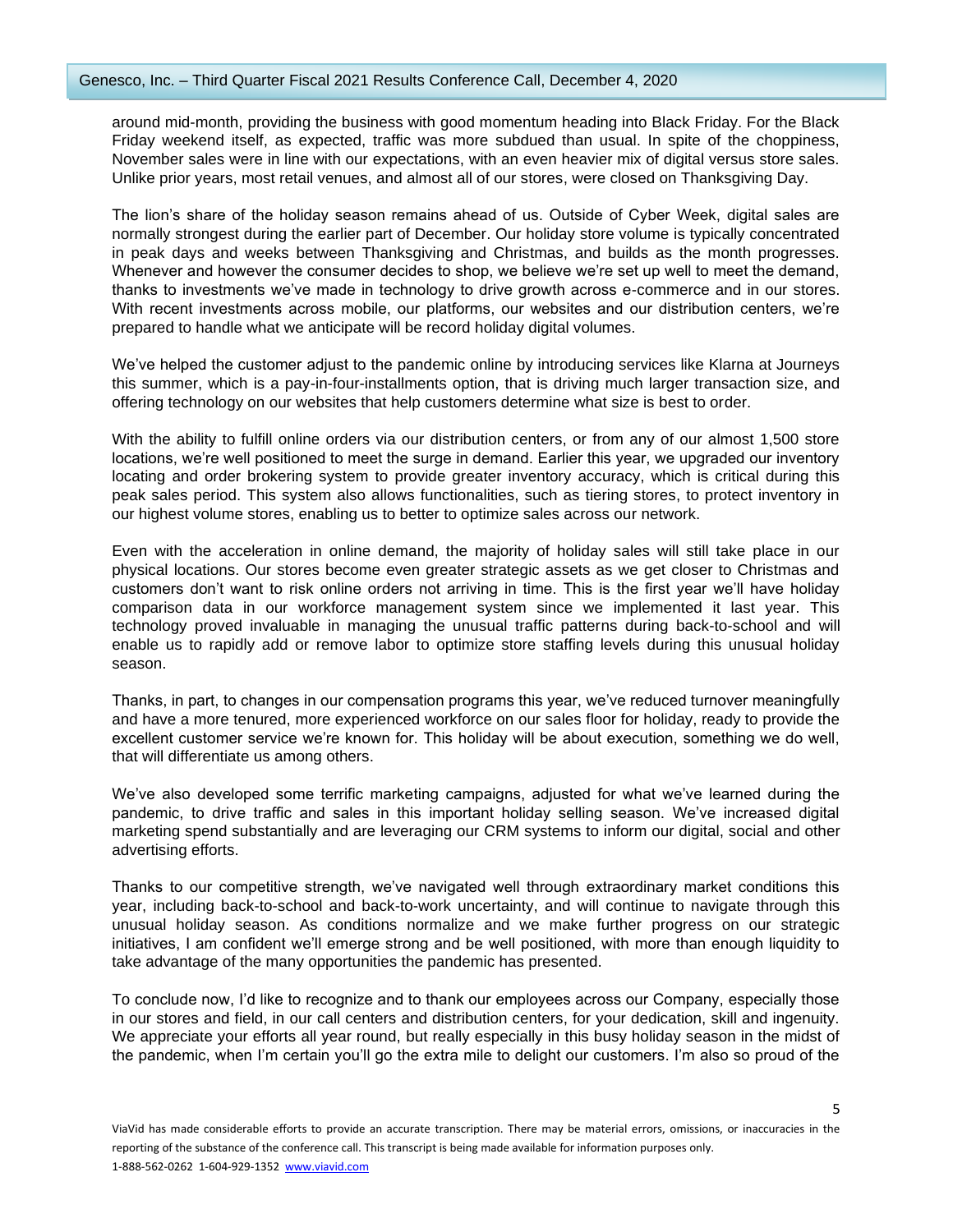around mid-month, providing the business with good momentum heading into Black Friday. For the Black Friday weekend itself, as expected, traffic was more subdued than usual. In spite of the choppiness, November sales were in line with our expectations, with an even heavier mix of digital versus store sales. Unlike prior years, most retail venues, and almost all of our stores, were closed on Thanksgiving Day.

The lion's share of the holiday season remains ahead of us. Outside of Cyber Week, digital sales are normally strongest during the earlier part of December. Our holiday store volume is typically concentrated in peak days and weeks between Thanksgiving and Christmas, and builds as the month progresses. Whenever and however the consumer decides to shop, we believe we're set up well to meet the demand, thanks to investments we've made in technology to drive growth across e-commerce and in our stores. With recent investments across mobile, our platforms, our websites and our distribution centers, we're prepared to handle what we anticipate will be record holiday digital volumes.

We've helped the customer adjust to the pandemic online by introducing services like Klarna at Journeys this summer, which is a pay-in-four-installments option, that is driving much larger transaction size, and offering technology on our websites that help customers determine what size is best to order.

With the ability to fulfill online orders via our distribution centers, or from any of our almost 1,500 store locations, we're well positioned to meet the surge in demand. Earlier this year, we upgraded our inventory locating and order brokering system to provide greater inventory accuracy, which is critical during this peak sales period. This system also allows functionalities, such as tiering stores, to protect inventory in our highest volume stores, enabling us to better to optimize sales across our network.

Even with the acceleration in online demand, the majority of holiday sales will still take place in our physical locations. Our stores become even greater strategic assets as we get closer to Christmas and customers don't want to risk online orders not arriving in time. This is the first year we'll have holiday comparison data in our workforce management system since we implemented it last year. This technology proved invaluable in managing the unusual traffic patterns during back-to-school and will enable us to rapidly add or remove labor to optimize store staffing levels during this unusual holiday season.

Thanks, in part, to changes in our compensation programs this year, we've reduced turnover meaningfully and have a more tenured, more experienced workforce on our sales floor for holiday, ready to provide the excellent customer service we're known for. This holiday will be about execution, something we do well, that will differentiate us among others.

We've also developed some terrific marketing campaigns, adjusted for what we've learned during the pandemic, to drive traffic and sales in this important holiday selling season. We've increased digital marketing spend substantially and are leveraging our CRM systems to inform our digital, social and other advertising efforts.

Thanks to our competitive strength, we've navigated well through extraordinary market conditions this year, including back-to-school and back-to-work uncertainty, and will continue to navigate through this unusual holiday season. As conditions normalize and we make further progress on our strategic initiatives, I am confident we'll emerge strong and be well positioned, with more than enough liquidity to take advantage of the many opportunities the pandemic has presented.

To conclude now, I'd like to recognize and to thank our employees across our Company, especially those in our stores and field, in our call centers and distribution centers, for your dedication, skill and ingenuity. We appreciate your efforts all year round, but really especially in this busy holiday season in the midst of the pandemic, when I'm certain you'll go the extra mile to delight our customers. I'm also so proud of the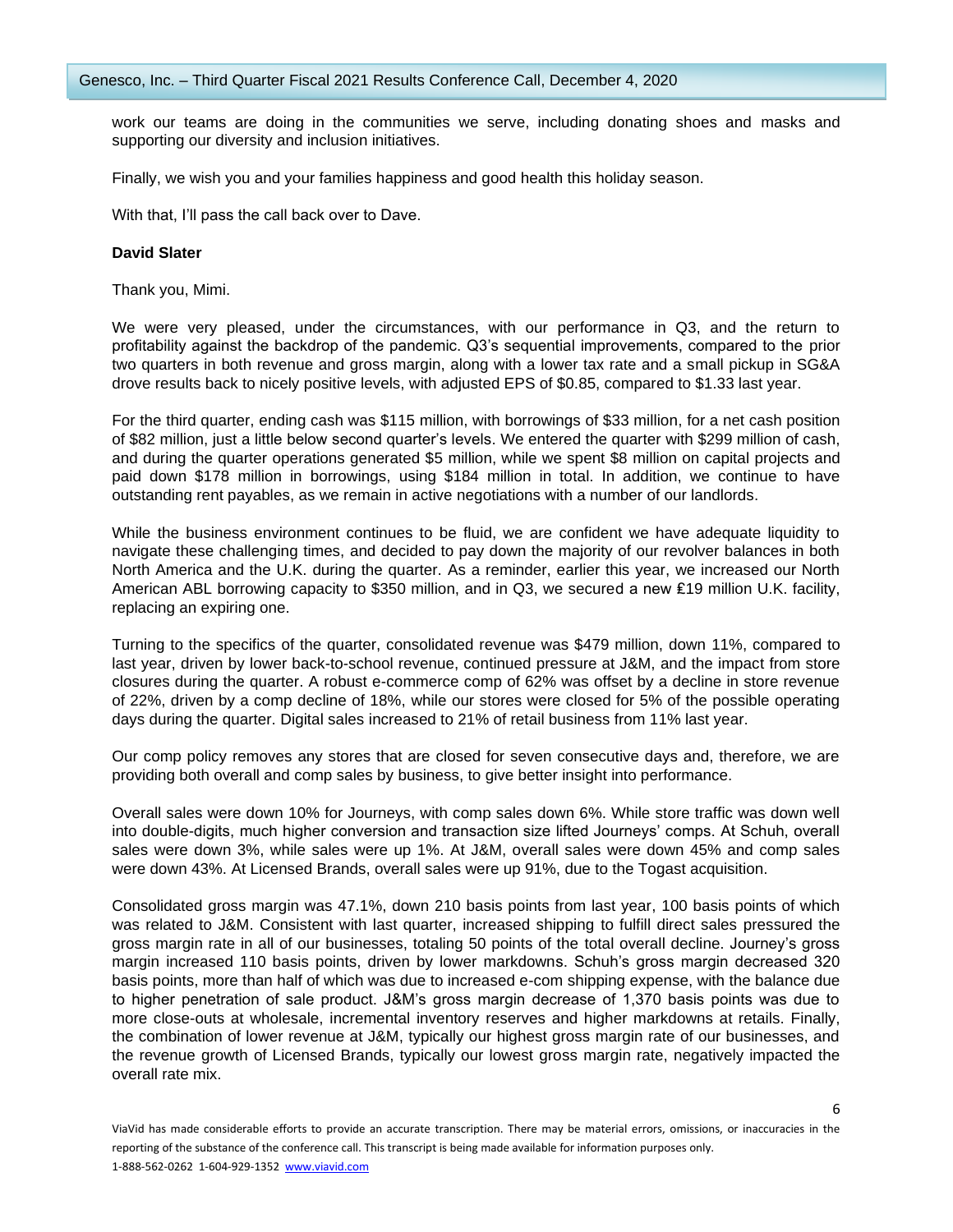work our teams are doing in the communities we serve, including donating shoes and masks and supporting our diversity and inclusion initiatives.

Finally, we wish you and your families happiness and good health this holiday season.

With that, I'll pass the call back over to Dave.

#### **David Slater**

Thank you, Mimi.

We were very pleased, under the circumstances, with our performance in Q3, and the return to profitability against the backdrop of the pandemic. Q3's sequential improvements, compared to the prior two quarters in both revenue and gross margin, along with a lower tax rate and a small pickup in SG&A drove results back to nicely positive levels, with adjusted EPS of \$0.85, compared to \$1.33 last year.

For the third quarter, ending cash was \$115 million, with borrowings of \$33 million, for a net cash position of \$82 million, just a little below second quarter's levels. We entered the quarter with \$299 million of cash, and during the quarter operations generated \$5 million, while we spent \$8 million on capital projects and paid down \$178 million in borrowings, using \$184 million in total. In addition, we continue to have outstanding rent payables, as we remain in active negotiations with a number of our landlords.

While the business environment continues to be fluid, we are confident we have adequate liquidity to navigate these challenging times, and decided to pay down the majority of our revolver balances in both North America and the U.K. during the quarter. As a reminder, earlier this year, we increased our North American ABL borrowing capacity to \$350 million, and in Q3, we secured a new ₤19 million U.K. facility, replacing an expiring one.

Turning to the specifics of the quarter, consolidated revenue was \$479 million, down 11%, compared to last year, driven by lower back-to-school revenue, continued pressure at J&M, and the impact from store closures during the quarter. A robust e-commerce comp of 62% was offset by a decline in store revenue of 22%, driven by a comp decline of 18%, while our stores were closed for 5% of the possible operating days during the quarter. Digital sales increased to 21% of retail business from 11% last year.

Our comp policy removes any stores that are closed for seven consecutive days and, therefore, we are providing both overall and comp sales by business, to give better insight into performance.

Overall sales were down 10% for Journeys, with comp sales down 6%. While store traffic was down well into double-digits, much higher conversion and transaction size lifted Journeys' comps. At Schuh, overall sales were down 3%, while sales were up 1%. At J&M, overall sales were down 45% and comp sales were down 43%. At Licensed Brands, overall sales were up 91%, due to the Togast acquisition.

Consolidated gross margin was 47.1%, down 210 basis points from last year, 100 basis points of which was related to J&M. Consistent with last quarter, increased shipping to fulfill direct sales pressured the gross margin rate in all of our businesses, totaling 50 points of the total overall decline. Journey's gross margin increased 110 basis points, driven by lower markdowns. Schuh's gross margin decreased 320 basis points, more than half of which was due to increased e-com shipping expense, with the balance due to higher penetration of sale product. J&M's gross margin decrease of 1,370 basis points was due to more close-outs at wholesale, incremental inventory reserves and higher markdowns at retails. Finally, the combination of lower revenue at J&M, typically our highest gross margin rate of our businesses, and the revenue growth of Licensed Brands, typically our lowest gross margin rate, negatively impacted the overall rate mix.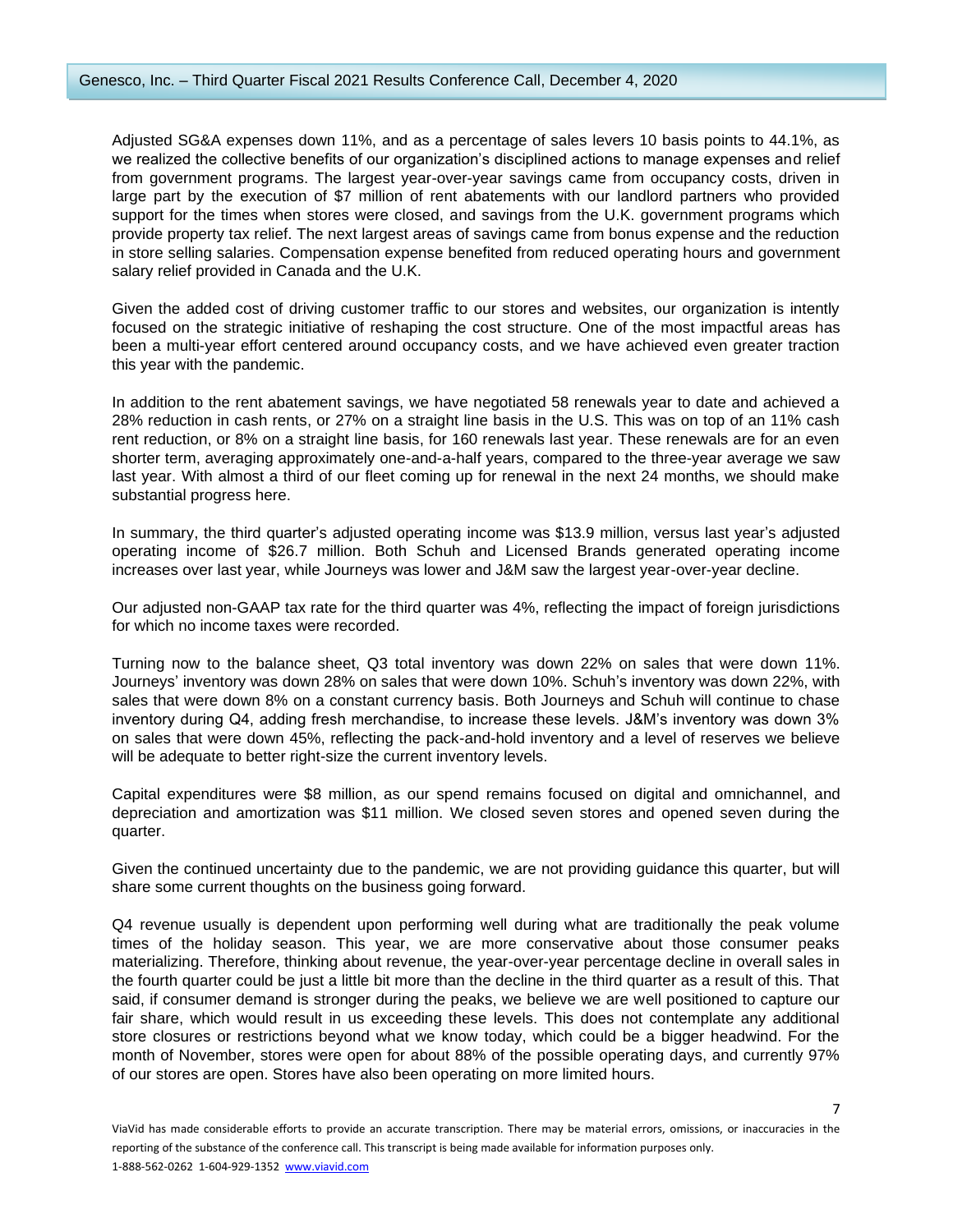Adjusted SG&A expenses down 11%, and as a percentage of sales levers 10 basis points to 44.1%, as we realized the collective benefits of our organization's disciplined actions to manage expenses and relief from government programs. The largest year-over-year savings came from occupancy costs, driven in large part by the execution of \$7 million of rent abatements with our landlord partners who provided support for the times when stores were closed, and savings from the U.K. government programs which provide property tax relief. The next largest areas of savings came from bonus expense and the reduction in store selling salaries. Compensation expense benefited from reduced operating hours and government salary relief provided in Canada and the U.K.

Given the added cost of driving customer traffic to our stores and websites, our organization is intently focused on the strategic initiative of reshaping the cost structure. One of the most impactful areas has been a multi-year effort centered around occupancy costs, and we have achieved even greater traction this year with the pandemic.

In addition to the rent abatement savings, we have negotiated 58 renewals year to date and achieved a 28% reduction in cash rents, or 27% on a straight line basis in the U.S. This was on top of an 11% cash rent reduction, or 8% on a straight line basis, for 160 renewals last year. These renewals are for an even shorter term, averaging approximately one-and-a-half years, compared to the three-year average we saw last year. With almost a third of our fleet coming up for renewal in the next 24 months, we should make substantial progress here.

In summary, the third quarter's adjusted operating income was \$13.9 million, versus last year's adjusted operating income of \$26.7 million. Both Schuh and Licensed Brands generated operating income increases over last year, while Journeys was lower and J&M saw the largest year-over-year decline.

Our adjusted non-GAAP tax rate for the third quarter was 4%, reflecting the impact of foreign jurisdictions for which no income taxes were recorded.

Turning now to the balance sheet, Q3 total inventory was down 22% on sales that were down 11%. Journeys' inventory was down 28% on sales that were down 10%. Schuh's inventory was down 22%, with sales that were down 8% on a constant currency basis. Both Journeys and Schuh will continue to chase inventory during Q4, adding fresh merchandise, to increase these levels. J&M's inventory was down 3% on sales that were down 45%, reflecting the pack-and-hold inventory and a level of reserves we believe will be adequate to better right-size the current inventory levels.

Capital expenditures were \$8 million, as our spend remains focused on digital and omnichannel, and depreciation and amortization was \$11 million. We closed seven stores and opened seven during the quarter.

Given the continued uncertainty due to the pandemic, we are not providing guidance this quarter, but will share some current thoughts on the business going forward.

Q4 revenue usually is dependent upon performing well during what are traditionally the peak volume times of the holiday season. This year, we are more conservative about those consumer peaks materializing. Therefore, thinking about revenue, the year-over-year percentage decline in overall sales in the fourth quarter could be just a little bit more than the decline in the third quarter as a result of this. That said, if consumer demand is stronger during the peaks, we believe we are well positioned to capture our fair share, which would result in us exceeding these levels. This does not contemplate any additional store closures or restrictions beyond what we know today, which could be a bigger headwind. For the month of November, stores were open for about 88% of the possible operating days, and currently 97% of our stores are open. Stores have also been operating on more limited hours.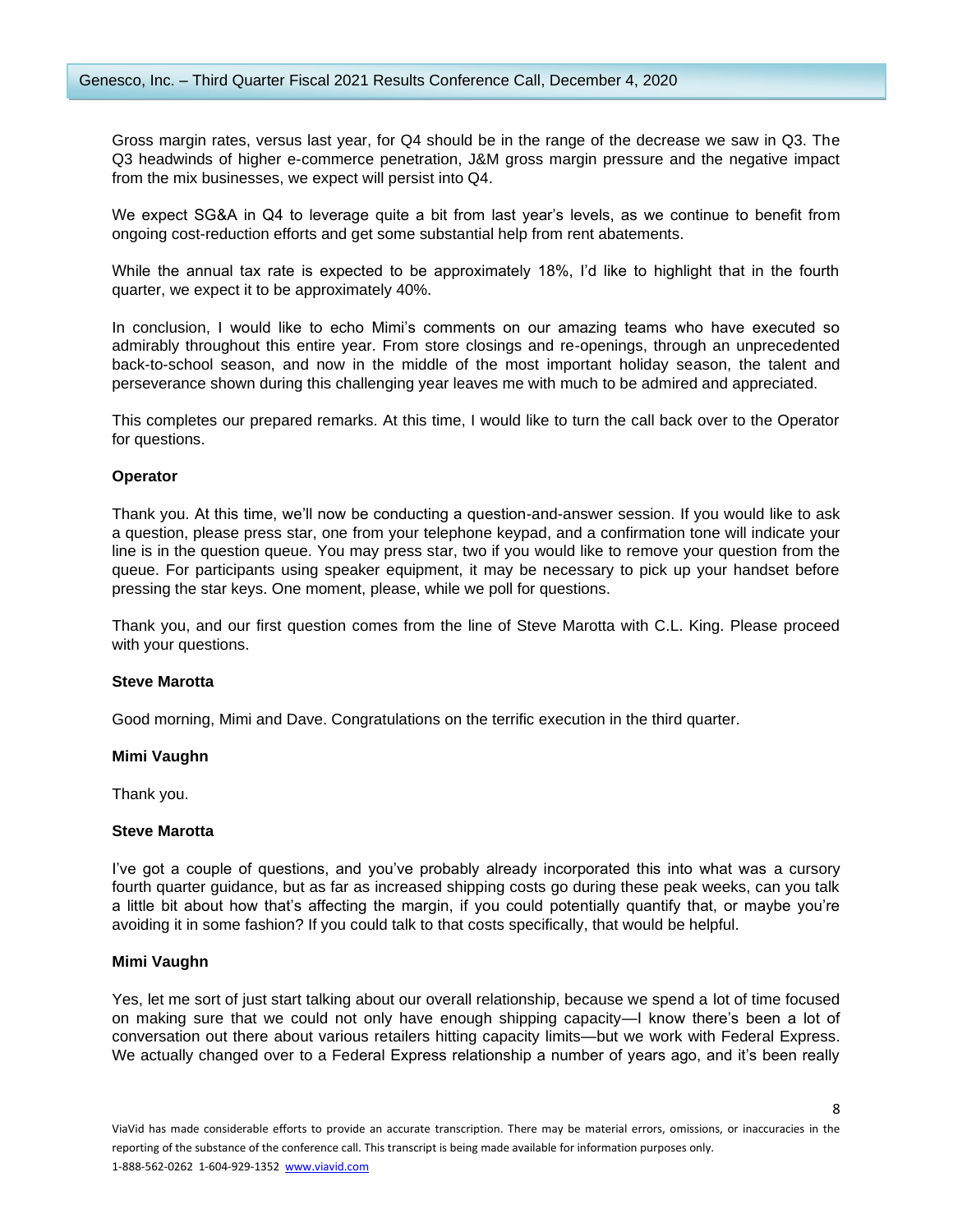Gross margin rates, versus last year, for Q4 should be in the range of the decrease we saw in Q3. The Q3 headwinds of higher e-commerce penetration, J&M gross margin pressure and the negative impact from the mix businesses, we expect will persist into Q4.

We expect SG&A in Q4 to leverage quite a bit from last year's levels, as we continue to benefit from ongoing cost-reduction efforts and get some substantial help from rent abatements.

While the annual tax rate is expected to be approximately 18%, I'd like to highlight that in the fourth quarter, we expect it to be approximately 40%.

In conclusion, I would like to echo Mimi's comments on our amazing teams who have executed so admirably throughout this entire year. From store closings and re-openings, through an unprecedented back-to-school season, and now in the middle of the most important holiday season, the talent and perseverance shown during this challenging year leaves me with much to be admired and appreciated.

This completes our prepared remarks. At this time, I would like to turn the call back over to the Operator for questions.

## **Operator**

Thank you. At this time, we'll now be conducting a question-and-answer session. If you would like to ask a question, please press star, one from your telephone keypad, and a confirmation tone will indicate your line is in the question queue. You may press star, two if you would like to remove your question from the queue. For participants using speaker equipment, it may be necessary to pick up your handset before pressing the star keys. One moment, please, while we poll for questions.

Thank you, and our first question comes from the line of Steve Marotta with C.L. King. Please proceed with your questions.

#### **Steve Marotta**

Good morning, Mimi and Dave. Congratulations on the terrific execution in the third quarter.

## **Mimi Vaughn**

Thank you.

## **Steve Marotta**

I've got a couple of questions, and you've probably already incorporated this into what was a cursory fourth quarter guidance, but as far as increased shipping costs go during these peak weeks, can you talk a little bit about how that's affecting the margin, if you could potentially quantify that, or maybe you're avoiding it in some fashion? If you could talk to that costs specifically, that would be helpful.

## **Mimi Vaughn**

Yes, let me sort of just start talking about our overall relationship, because we spend a lot of time focused on making sure that we could not only have enough shipping capacity—I know there's been a lot of conversation out there about various retailers hitting capacity limits—but we work with Federal Express. We actually changed over to a Federal Express relationship a number of years ago, and it's been really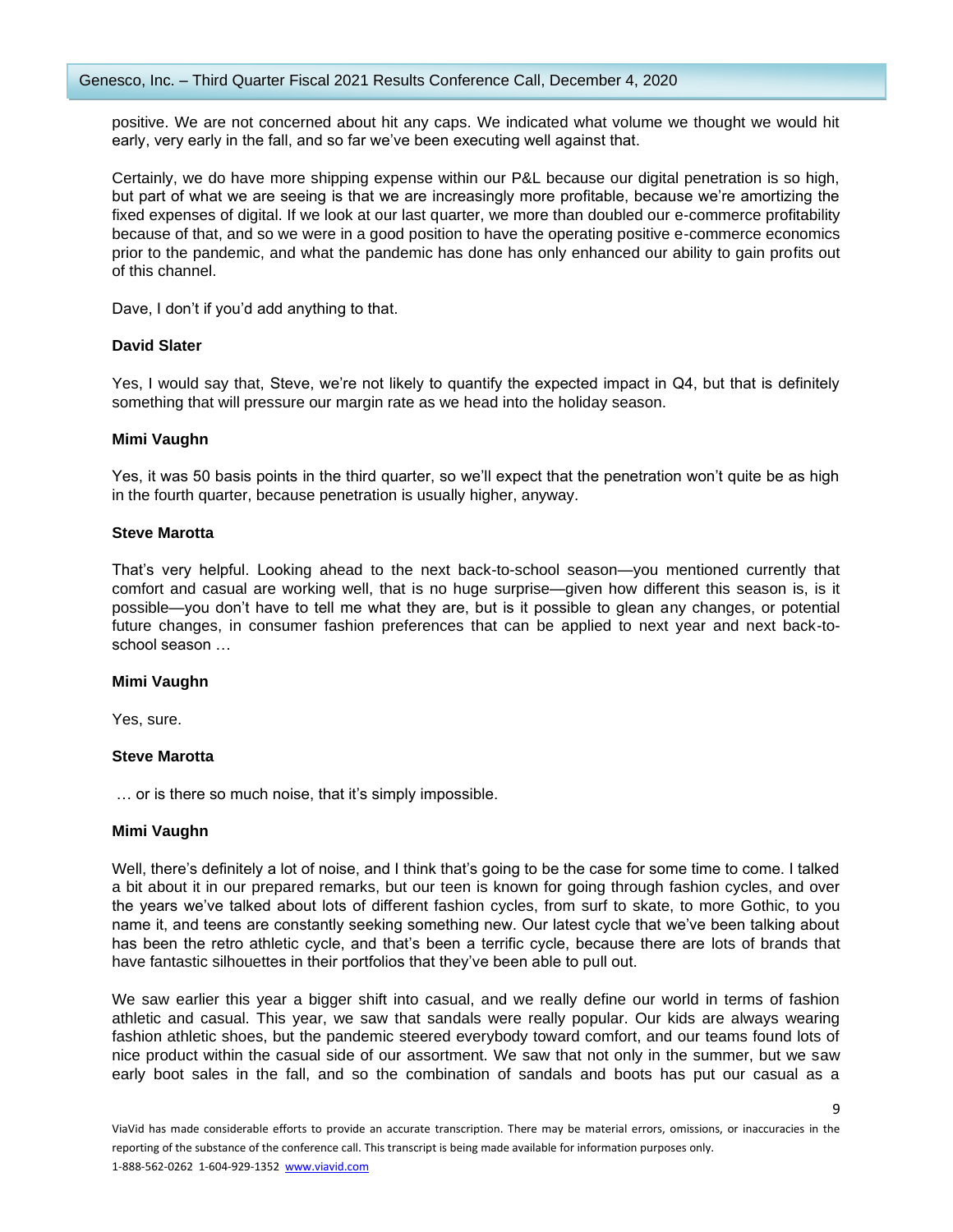positive. We are not concerned about hit any caps. We indicated what volume we thought we would hit early, very early in the fall, and so far we've been executing well against that.

Certainly, we do have more shipping expense within our P&L because our digital penetration is so high, but part of what we are seeing is that we are increasingly more profitable, because we're amortizing the fixed expenses of digital. If we look at our last quarter, we more than doubled our e-commerce profitability because of that, and so we were in a good position to have the operating positive e-commerce economics prior to the pandemic, and what the pandemic has done has only enhanced our ability to gain profits out of this channel.

Dave, I don't if you'd add anything to that.

## **David Slater**

Yes, I would say that, Steve, we're not likely to quantify the expected impact in Q4, but that is definitely something that will pressure our margin rate as we head into the holiday season.

## **Mimi Vaughn**

Yes, it was 50 basis points in the third quarter, so we'll expect that the penetration won't quite be as high in the fourth quarter, because penetration is usually higher, anyway.

## **Steve Marotta**

That's very helpful. Looking ahead to the next back-to-school season—you mentioned currently that comfort and casual are working well, that is no huge surprise—given how different this season is, is it possible—you don't have to tell me what they are, but is it possible to glean any changes, or potential future changes, in consumer fashion preferences that can be applied to next year and next back-toschool season …

#### **Mimi Vaughn**

Yes, sure.

## **Steve Marotta**

… or is there so much noise, that it's simply impossible.

#### **Mimi Vaughn**

Well, there's definitely a lot of noise, and I think that's going to be the case for some time to come. I talked a bit about it in our prepared remarks, but our teen is known for going through fashion cycles, and over the years we've talked about lots of different fashion cycles, from surf to skate, to more Gothic, to you name it, and teens are constantly seeking something new. Our latest cycle that we've been talking about has been the retro athletic cycle, and that's been a terrific cycle, because there are lots of brands that have fantastic silhouettes in their portfolios that they've been able to pull out.

We saw earlier this year a bigger shift into casual, and we really define our world in terms of fashion athletic and casual. This year, we saw that sandals were really popular. Our kids are always wearing fashion athletic shoes, but the pandemic steered everybody toward comfort, and our teams found lots of nice product within the casual side of our assortment. We saw that not only in the summer, but we saw early boot sales in the fall, and so the combination of sandals and boots has put our casual as a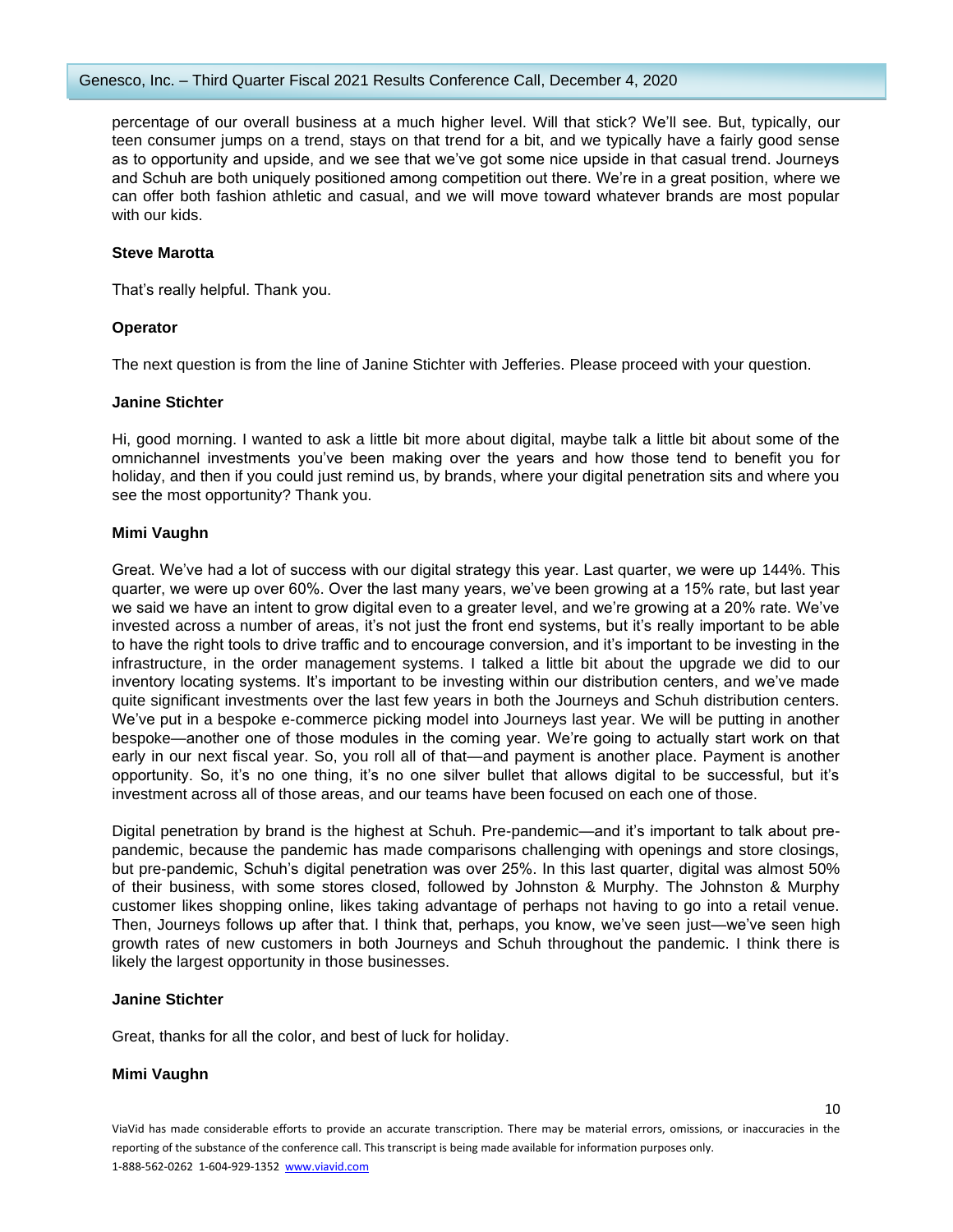percentage of our overall business at a much higher level. Will that stick? We'll see. But, typically, our teen consumer jumps on a trend, stays on that trend for a bit, and we typically have a fairly good sense as to opportunity and upside, and we see that we've got some nice upside in that casual trend. Journeys and Schuh are both uniquely positioned among competition out there. We're in a great position, where we can offer both fashion athletic and casual, and we will move toward whatever brands are most popular with our kids.

## **Steve Marotta**

That's really helpful. Thank you.

## **Operator**

The next question is from the line of Janine Stichter with Jefferies. Please proceed with your question.

## **Janine Stichter**

Hi, good morning. I wanted to ask a little bit more about digital, maybe talk a little bit about some of the omnichannel investments you've been making over the years and how those tend to benefit you for holiday, and then if you could just remind us, by brands, where your digital penetration sits and where you see the most opportunity? Thank you.

## **Mimi Vaughn**

Great. We've had a lot of success with our digital strategy this year. Last quarter, we were up 144%. This quarter, we were up over 60%. Over the last many years, we've been growing at a 15% rate, but last year we said we have an intent to grow digital even to a greater level, and we're growing at a 20% rate. We've invested across a number of areas, it's not just the front end systems, but it's really important to be able to have the right tools to drive traffic and to encourage conversion, and it's important to be investing in the infrastructure, in the order management systems. I talked a little bit about the upgrade we did to our inventory locating systems. It's important to be investing within our distribution centers, and we've made quite significant investments over the last few years in both the Journeys and Schuh distribution centers. We've put in a bespoke e-commerce picking model into Journeys last year. We will be putting in another bespoke—another one of those modules in the coming year. We're going to actually start work on that early in our next fiscal year. So, you roll all of that—and payment is another place. Payment is another opportunity. So, it's no one thing, it's no one silver bullet that allows digital to be successful, but it's investment across all of those areas, and our teams have been focused on each one of those.

Digital penetration by brand is the highest at Schuh. Pre-pandemic—and it's important to talk about prepandemic, because the pandemic has made comparisons challenging with openings and store closings, but pre-pandemic, Schuh's digital penetration was over 25%. In this last quarter, digital was almost 50% of their business, with some stores closed, followed by Johnston & Murphy. The Johnston & Murphy customer likes shopping online, likes taking advantage of perhaps not having to go into a retail venue. Then, Journeys follows up after that. I think that, perhaps, you know, we've seen just—we've seen high growth rates of new customers in both Journeys and Schuh throughout the pandemic. I think there is likely the largest opportunity in those businesses.

## **Janine Stichter**

Great, thanks for all the color, and best of luck for holiday.

## **Mimi Vaughn**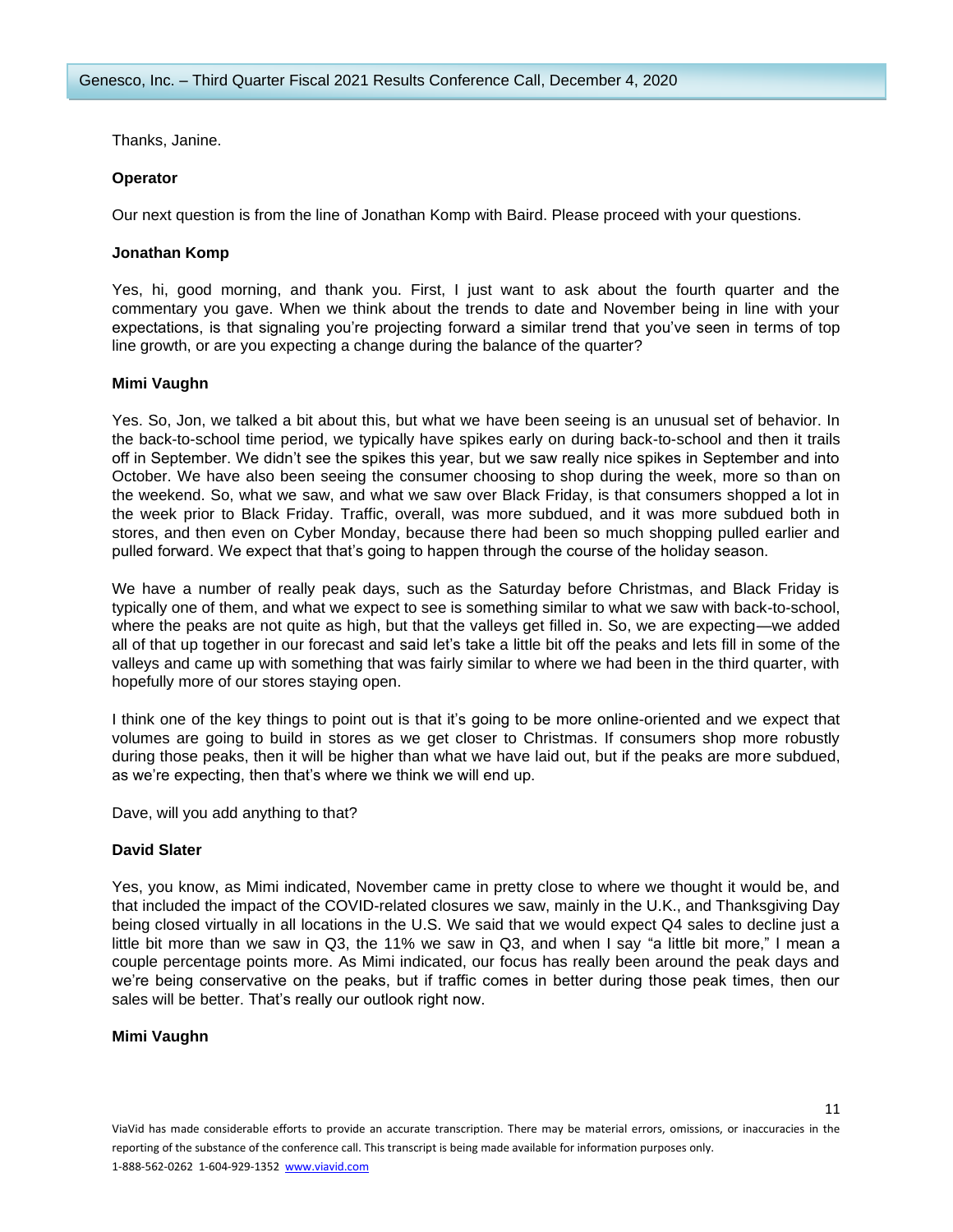Thanks, Janine.

## **Operator**

Our next question is from the line of Jonathan Komp with Baird. Please proceed with your questions.

## **Jonathan Komp**

Yes, hi, good morning, and thank you. First, I just want to ask about the fourth quarter and the commentary you gave. When we think about the trends to date and November being in line with your expectations, is that signaling you're projecting forward a similar trend that you've seen in terms of top line growth, or are you expecting a change during the balance of the quarter?

## **Mimi Vaughn**

Yes. So, Jon, we talked a bit about this, but what we have been seeing is an unusual set of behavior. In the back-to-school time period, we typically have spikes early on during back-to-school and then it trails off in September. We didn't see the spikes this year, but we saw really nice spikes in September and into October. We have also been seeing the consumer choosing to shop during the week, more so than on the weekend. So, what we saw, and what we saw over Black Friday, is that consumers shopped a lot in the week prior to Black Friday. Traffic, overall, was more subdued, and it was more subdued both in stores, and then even on Cyber Monday, because there had been so much shopping pulled earlier and pulled forward. We expect that that's going to happen through the course of the holiday season.

We have a number of really peak days, such as the Saturday before Christmas, and Black Friday is typically one of them, and what we expect to see is something similar to what we saw with back-to-school, where the peaks are not quite as high, but that the valleys get filled in. So, we are expecting—we added all of that up together in our forecast and said let's take a little bit off the peaks and lets fill in some of the valleys and came up with something that was fairly similar to where we had been in the third quarter, with hopefully more of our stores staying open.

I think one of the key things to point out is that it's going to be more online-oriented and we expect that volumes are going to build in stores as we get closer to Christmas. If consumers shop more robustly during those peaks, then it will be higher than what we have laid out, but if the peaks are more subdued, as we're expecting, then that's where we think we will end up.

Dave, will you add anything to that?

#### **David Slater**

Yes, you know, as Mimi indicated, November came in pretty close to where we thought it would be, and that included the impact of the COVID-related closures we saw, mainly in the U.K., and Thanksgiving Day being closed virtually in all locations in the U.S. We said that we would expect Q4 sales to decline just a little bit more than we saw in Q3, the 11% we saw in Q3, and when I say "a little bit more," I mean a couple percentage points more. As Mimi indicated, our focus has really been around the peak days and we're being conservative on the peaks, but if traffic comes in better during those peak times, then our sales will be better. That's really our outlook right now.

## **Mimi Vaughn**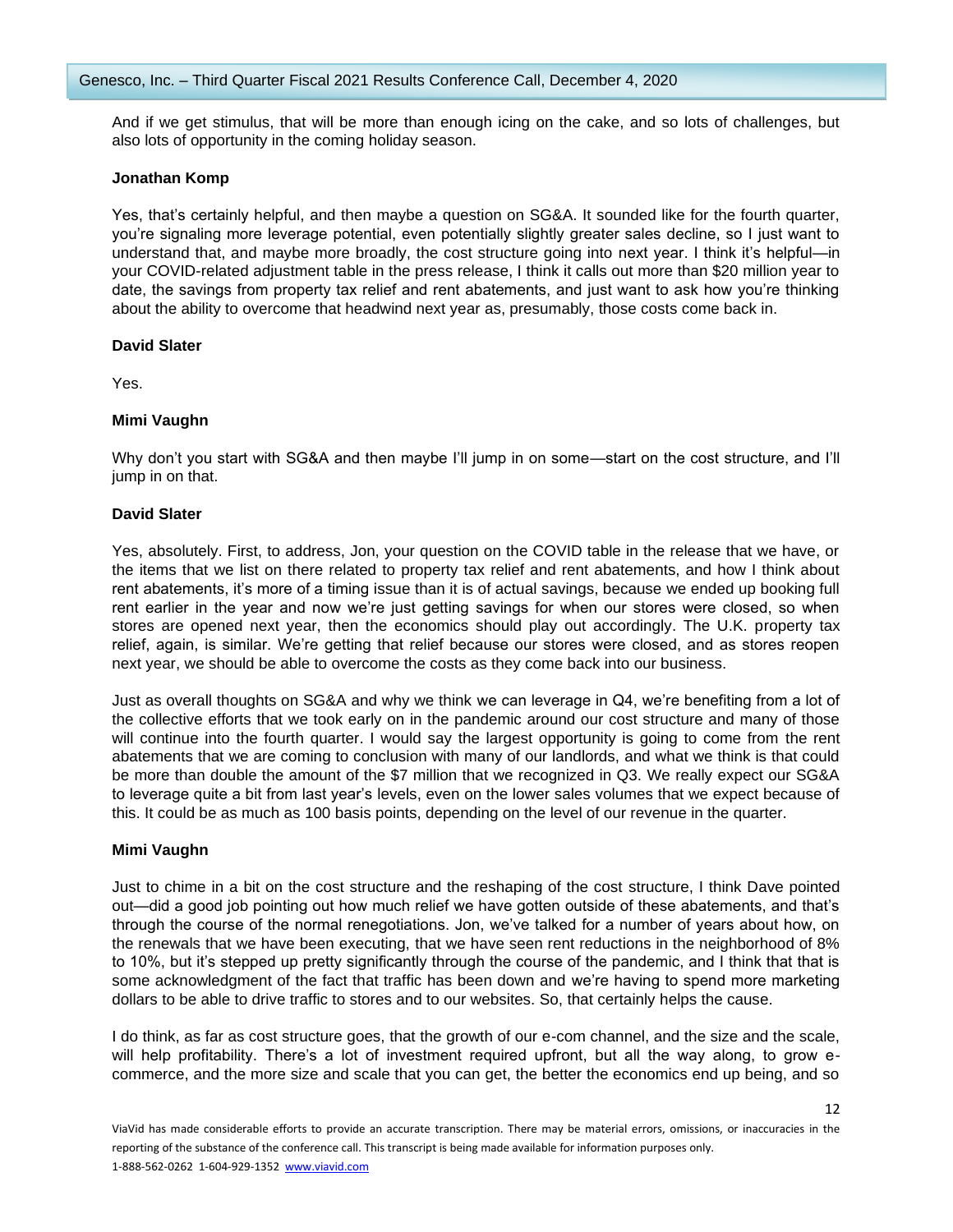And if we get stimulus, that will be more than enough icing on the cake, and so lots of challenges, but also lots of opportunity in the coming holiday season.

## **Jonathan Komp**

Yes, that's certainly helpful, and then maybe a question on SG&A. It sounded like for the fourth quarter, you're signaling more leverage potential, even potentially slightly greater sales decline, so I just want to understand that, and maybe more broadly, the cost structure going into next year. I think it's helpful—in your COVID-related adjustment table in the press release, I think it calls out more than \$20 million year to date, the savings from property tax relief and rent abatements, and just want to ask how you're thinking about the ability to overcome that headwind next year as, presumably, those costs come back in.

## **David Slater**

Yes.

## **Mimi Vaughn**

Why don't you start with SG&A and then maybe I'll jump in on some—start on the cost structure, and I'll jump in on that.

## **David Slater**

Yes, absolutely. First, to address, Jon, your question on the COVID table in the release that we have, or the items that we list on there related to property tax relief and rent abatements, and how I think about rent abatements, it's more of a timing issue than it is of actual savings, because we ended up booking full rent earlier in the year and now we're just getting savings for when our stores were closed, so when stores are opened next year, then the economics should play out accordingly. The U.K. property tax relief, again, is similar. We're getting that relief because our stores were closed, and as stores reopen next year, we should be able to overcome the costs as they come back into our business.

Just as overall thoughts on SG&A and why we think we can leverage in Q4, we're benefiting from a lot of the collective efforts that we took early on in the pandemic around our cost structure and many of those will continue into the fourth quarter. I would say the largest opportunity is going to come from the rent abatements that we are coming to conclusion with many of our landlords, and what we think is that could be more than double the amount of the \$7 million that we recognized in Q3. We really expect our SG&A to leverage quite a bit from last year's levels, even on the lower sales volumes that we expect because of this. It could be as much as 100 basis points, depending on the level of our revenue in the quarter.

#### **Mimi Vaughn**

Just to chime in a bit on the cost structure and the reshaping of the cost structure, I think Dave pointed out—did a good job pointing out how much relief we have gotten outside of these abatements, and that's through the course of the normal renegotiations. Jon, we've talked for a number of years about how, on the renewals that we have been executing, that we have seen rent reductions in the neighborhood of 8% to 10%, but it's stepped up pretty significantly through the course of the pandemic, and I think that that is some acknowledgment of the fact that traffic has been down and we're having to spend more marketing dollars to be able to drive traffic to stores and to our websites. So, that certainly helps the cause.

I do think, as far as cost structure goes, that the growth of our e-com channel, and the size and the scale, will help profitability. There's a lot of investment required upfront, but all the way along, to grow ecommerce, and the more size and scale that you can get, the better the economics end up being, and so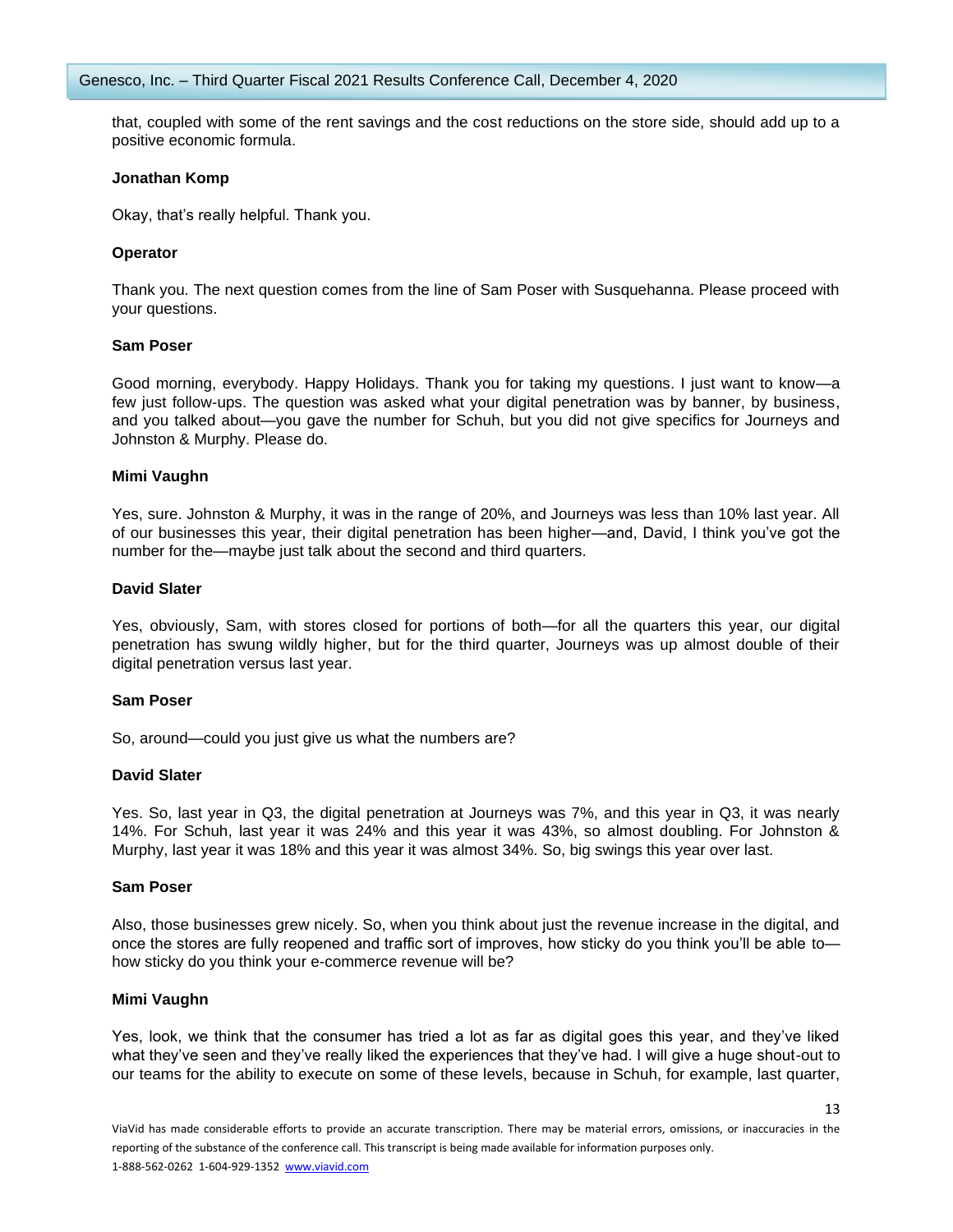that, coupled with some of the rent savings and the cost reductions on the store side, should add up to a positive economic formula.

## **Jonathan Komp**

Okay, that's really helpful. Thank you.

## **Operator**

Thank you. The next question comes from the line of Sam Poser with Susquehanna. Please proceed with your questions.

## **Sam Poser**

Good morning, everybody. Happy Holidays. Thank you for taking my questions. I just want to know—a few just follow-ups. The question was asked what your digital penetration was by banner, by business, and you talked about—you gave the number for Schuh, but you did not give specifics for Journeys and Johnston & Murphy. Please do.

## **Mimi Vaughn**

Yes, sure. Johnston & Murphy, it was in the range of 20%, and Journeys was less than 10% last year. All of our businesses this year, their digital penetration has been higher—and, David, I think you've got the number for the—maybe just talk about the second and third quarters.

## **David Slater**

Yes, obviously, Sam, with stores closed for portions of both—for all the quarters this year, our digital penetration has swung wildly higher, but for the third quarter, Journeys was up almost double of their digital penetration versus last year.

#### **Sam Poser**

So, around—could you just give us what the numbers are?

#### **David Slater**

Yes. So, last year in Q3, the digital penetration at Journeys was 7%, and this year in Q3, it was nearly 14%. For Schuh, last year it was 24% and this year it was 43%, so almost doubling. For Johnston & Murphy, last year it was 18% and this year it was almost 34%. So, big swings this year over last.

#### **Sam Poser**

Also, those businesses grew nicely. So, when you think about just the revenue increase in the digital, and once the stores are fully reopened and traffic sort of improves, how sticky do you think you'll be able to how sticky do you think your e-commerce revenue will be?

## **Mimi Vaughn**

Yes, look, we think that the consumer has tried a lot as far as digital goes this year, and they've liked what they've seen and they've really liked the experiences that they've had. I will give a huge shout-out to our teams for the ability to execute on some of these levels, because in Schuh, for example, last quarter,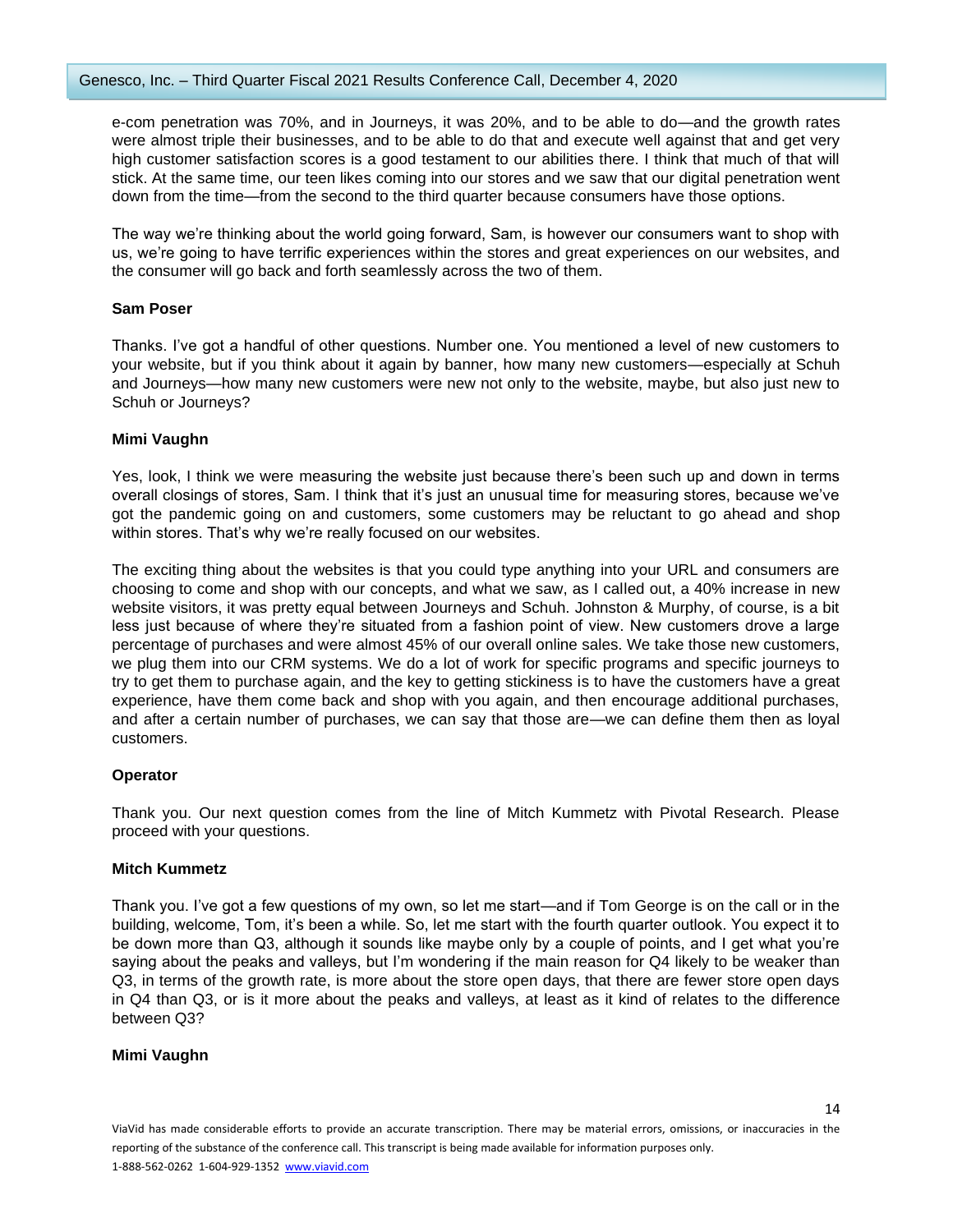e-com penetration was 70%, and in Journeys, it was 20%, and to be able to do—and the growth rates were almost triple their businesses, and to be able to do that and execute well against that and get very high customer satisfaction scores is a good testament to our abilities there. I think that much of that will stick. At the same time, our teen likes coming into our stores and we saw that our digital penetration went down from the time—from the second to the third quarter because consumers have those options.

The way we're thinking about the world going forward, Sam, is however our consumers want to shop with us, we're going to have terrific experiences within the stores and great experiences on our websites, and the consumer will go back and forth seamlessly across the two of them.

## **Sam Poser**

Thanks. I've got a handful of other questions. Number one. You mentioned a level of new customers to your website, but if you think about it again by banner, how many new customers—especially at Schuh and Journeys—how many new customers were new not only to the website, maybe, but also just new to Schuh or Journeys?

## **Mimi Vaughn**

Yes, look, I think we were measuring the website just because there's been such up and down in terms overall closings of stores, Sam. I think that it's just an unusual time for measuring stores, because we've got the pandemic going on and customers, some customers may be reluctant to go ahead and shop within stores. That's why we're really focused on our websites.

The exciting thing about the websites is that you could type anything into your URL and consumers are choosing to come and shop with our concepts, and what we saw, as I called out, a 40% increase in new website visitors, it was pretty equal between Journeys and Schuh. Johnston & Murphy, of course, is a bit less just because of where they're situated from a fashion point of view. New customers drove a large percentage of purchases and were almost 45% of our overall online sales. We take those new customers, we plug them into our CRM systems. We do a lot of work for specific programs and specific journeys to try to get them to purchase again, and the key to getting stickiness is to have the customers have a great experience, have them come back and shop with you again, and then encourage additional purchases, and after a certain number of purchases, we can say that those are—we can define them then as loyal customers.

## **Operator**

Thank you. Our next question comes from the line of Mitch Kummetz with Pivotal Research. Please proceed with your questions.

## **Mitch Kummetz**

Thank you. I've got a few questions of my own, so let me start—and if Tom George is on the call or in the building, welcome, Tom, it's been a while. So, let me start with the fourth quarter outlook. You expect it to be down more than Q3, although it sounds like maybe only by a couple of points, and I get what you're saying about the peaks and valleys, but I'm wondering if the main reason for Q4 likely to be weaker than Q3, in terms of the growth rate, is more about the store open days, that there are fewer store open days in Q4 than Q3, or is it more about the peaks and valleys, at least as it kind of relates to the difference between Q3?

## **Mimi Vaughn**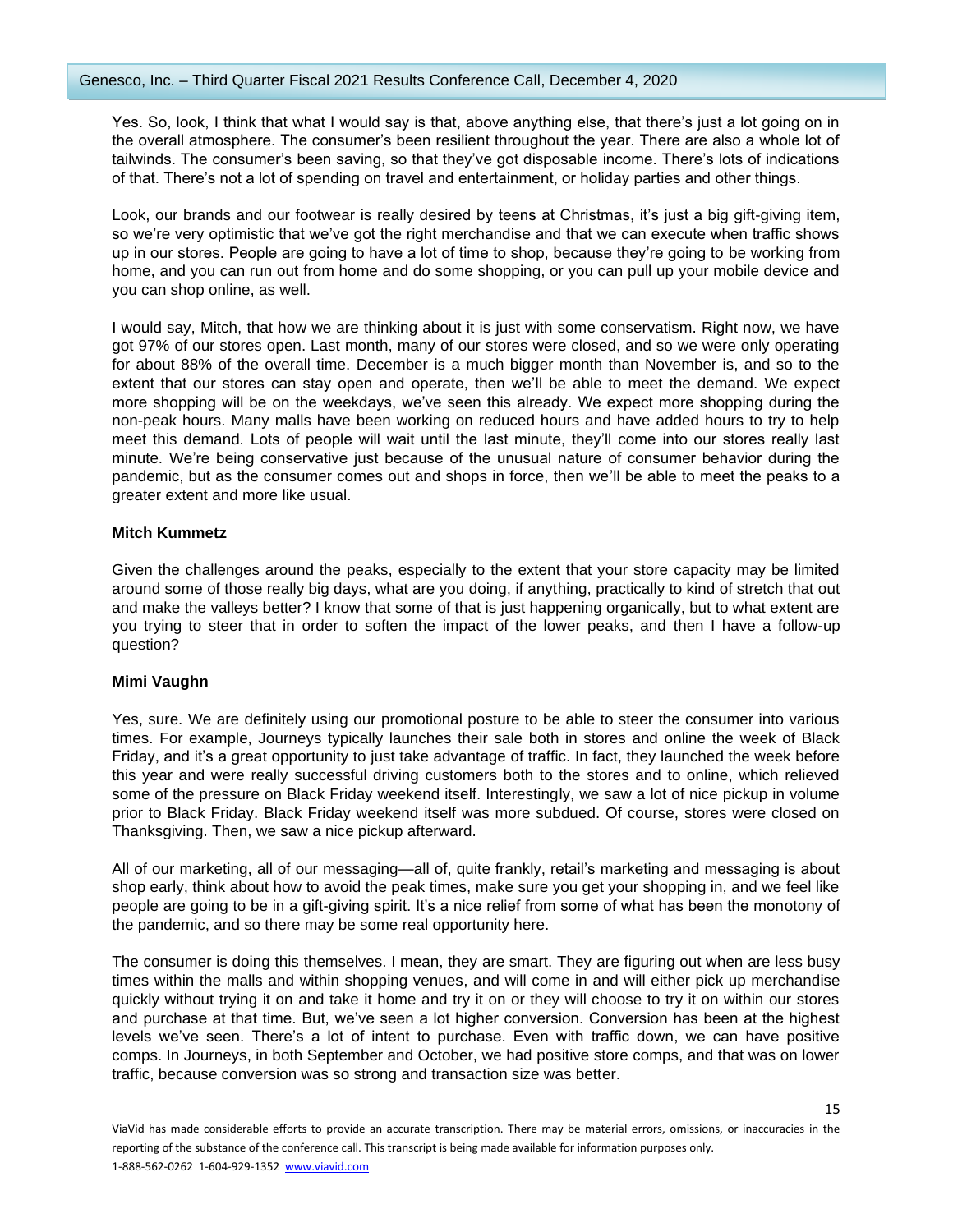Yes. So, look, I think that what I would say is that, above anything else, that there's just a lot going on in the overall atmosphere. The consumer's been resilient throughout the year. There are also a whole lot of tailwinds. The consumer's been saving, so that they've got disposable income. There's lots of indications of that. There's not a lot of spending on travel and entertainment, or holiday parties and other things.

Look, our brands and our footwear is really desired by teens at Christmas, it's just a big gift-giving item, so we're very optimistic that we've got the right merchandise and that we can execute when traffic shows up in our stores. People are going to have a lot of time to shop, because they're going to be working from home, and you can run out from home and do some shopping, or you can pull up your mobile device and you can shop online, as well.

I would say, Mitch, that how we are thinking about it is just with some conservatism. Right now, we have got 97% of our stores open. Last month, many of our stores were closed, and so we were only operating for about 88% of the overall time. December is a much bigger month than November is, and so to the extent that our stores can stay open and operate, then we'll be able to meet the demand. We expect more shopping will be on the weekdays, we've seen this already. We expect more shopping during the non-peak hours. Many malls have been working on reduced hours and have added hours to try to help meet this demand. Lots of people will wait until the last minute, they'll come into our stores really last minute. We're being conservative just because of the unusual nature of consumer behavior during the pandemic, but as the consumer comes out and shops in force, then we'll be able to meet the peaks to a greater extent and more like usual.

## **Mitch Kummetz**

Given the challenges around the peaks, especially to the extent that your store capacity may be limited around some of those really big days, what are you doing, if anything, practically to kind of stretch that out and make the valleys better? I know that some of that is just happening organically, but to what extent are you trying to steer that in order to soften the impact of the lower peaks, and then I have a follow-up question?

## **Mimi Vaughn**

Yes, sure. We are definitely using our promotional posture to be able to steer the consumer into various times. For example, Journeys typically launches their sale both in stores and online the week of Black Friday, and it's a great opportunity to just take advantage of traffic. In fact, they launched the week before this year and were really successful driving customers both to the stores and to online, which relieved some of the pressure on Black Friday weekend itself. Interestingly, we saw a lot of nice pickup in volume prior to Black Friday. Black Friday weekend itself was more subdued. Of course, stores were closed on Thanksgiving. Then, we saw a nice pickup afterward.

All of our marketing, all of our messaging—all of, quite frankly, retail's marketing and messaging is about shop early, think about how to avoid the peak times, make sure you get your shopping in, and we feel like people are going to be in a gift-giving spirit. It's a nice relief from some of what has been the monotony of the pandemic, and so there may be some real opportunity here.

The consumer is doing this themselves. I mean, they are smart. They are figuring out when are less busy times within the malls and within shopping venues, and will come in and will either pick up merchandise quickly without trying it on and take it home and try it on or they will choose to try it on within our stores and purchase at that time. But, we've seen a lot higher conversion. Conversion has been at the highest levels we've seen. There's a lot of intent to purchase. Even with traffic down, we can have positive comps. In Journeys, in both September and October, we had positive store comps, and that was on lower traffic, because conversion was so strong and transaction size was better.